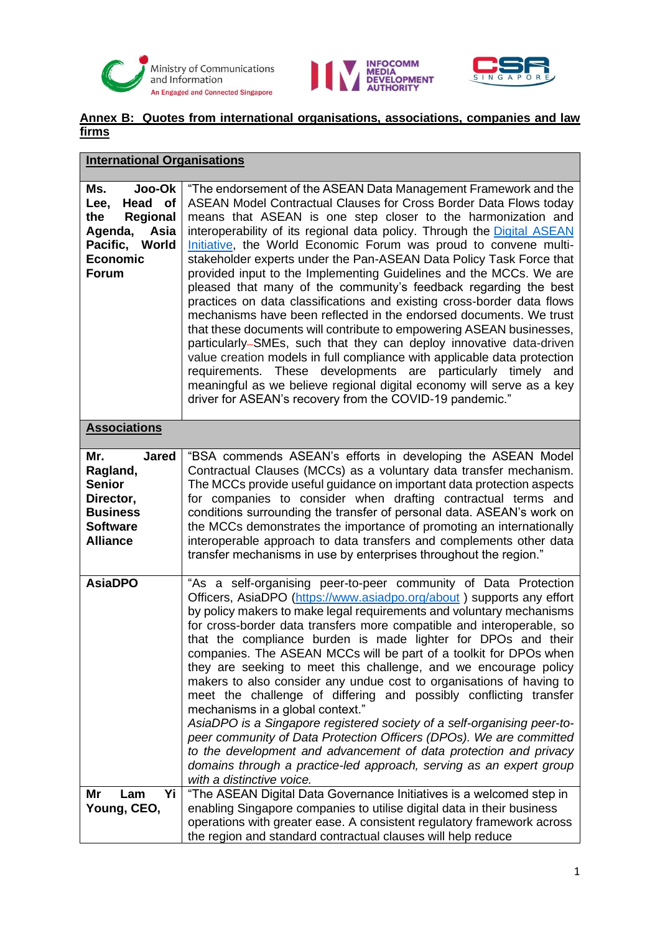





## **Annex B: Quotes from international organisations, associations, companies and law firms**

| <b>International Organisations</b>                                                                                          |                                                                                                                                                                                                                                                                                                                                                                                                                                                                                                                                                                                                                                                                                                                                                                                                                                                                                                                                                                                                                                                                                                                                                      |  |
|-----------------------------------------------------------------------------------------------------------------------------|------------------------------------------------------------------------------------------------------------------------------------------------------------------------------------------------------------------------------------------------------------------------------------------------------------------------------------------------------------------------------------------------------------------------------------------------------------------------------------------------------------------------------------------------------------------------------------------------------------------------------------------------------------------------------------------------------------------------------------------------------------------------------------------------------------------------------------------------------------------------------------------------------------------------------------------------------------------------------------------------------------------------------------------------------------------------------------------------------------------------------------------------------|--|
| Ms.<br>Joo-Ok<br>Head of<br>Lee,<br>the<br>Regional<br>Agenda,<br>Asia<br>Pacific, World<br><b>Economic</b><br><b>Forum</b> | "The endorsement of the ASEAN Data Management Framework and the<br>ASEAN Model Contractual Clauses for Cross Border Data Flows today<br>means that ASEAN is one step closer to the harmonization and<br>interoperability of its regional data policy. Through the Digital ASEAN<br>Initiative, the World Economic Forum was proud to convene multi-<br>stakeholder experts under the Pan-ASEAN Data Policy Task Force that<br>provided input to the Implementing Guidelines and the MCCs. We are<br>pleased that many of the community's feedback regarding the best<br>practices on data classifications and existing cross-border data flows<br>mechanisms have been reflected in the endorsed documents. We trust<br>that these documents will contribute to empowering ASEAN businesses,<br>particularly–SMEs, such that they can deploy innovative data-driven<br>value creation models in full compliance with applicable data protection<br>requirements. These developments are particularly timely and<br>meaningful as we believe regional digital economy will serve as a key<br>driver for ASEAN's recovery from the COVID-19 pandemic." |  |
| <b>Associations</b>                                                                                                         |                                                                                                                                                                                                                                                                                                                                                                                                                                                                                                                                                                                                                                                                                                                                                                                                                                                                                                                                                                                                                                                                                                                                                      |  |
| Mr.<br><b>Jared</b><br>Ragland,<br><b>Senior</b><br>Director,<br><b>Business</b><br><b>Software</b><br><b>Alliance</b>      | "BSA commends ASEAN's efforts in developing the ASEAN Model<br>Contractual Clauses (MCCs) as a voluntary data transfer mechanism.<br>The MCCs provide useful guidance on important data protection aspects<br>for companies to consider when drafting contractual terms and<br>conditions surrounding the transfer of personal data. ASEAN's work on<br>the MCCs demonstrates the importance of promoting an internationally<br>interoperable approach to data transfers and complements other data<br>transfer mechanisms in use by enterprises throughout the region."                                                                                                                                                                                                                                                                                                                                                                                                                                                                                                                                                                             |  |
| <b>AsiaDPO</b>                                                                                                              | "As a self-organising peer-to-peer community of Data Protection<br>Officers, AsiaDPO (https://www.asiadpo.org/about) supports any effort<br>by policy makers to make legal requirements and voluntary mechanisms<br>for cross-border data transfers more compatible and interoperable, so<br>that the compliance burden is made lighter for DPOs and their<br>companies. The ASEAN MCCs will be part of a toolkit for DPOs when<br>they are seeking to meet this challenge, and we encourage policy<br>makers to also consider any undue cost to organisations of having to<br>meet the challenge of differing and possibly conflicting transfer<br>mechanisms in a global context."<br>AsiaDPO is a Singapore registered society of a self-organising peer-to-<br>peer community of Data Protection Officers (DPOs). We are committed<br>to the development and advancement of data protection and privacy<br>domains through a practice-led approach, serving as an expert group<br>with a distinctive voice.                                                                                                                                      |  |
| Mr<br>Yi<br>Lam<br>Young, CEO,                                                                                              | "The ASEAN Digital Data Governance Initiatives is a welcomed step in<br>enabling Singapore companies to utilise digital data in their business<br>operations with greater ease. A consistent regulatory framework across<br>the region and standard contractual clauses will help reduce                                                                                                                                                                                                                                                                                                                                                                                                                                                                                                                                                                                                                                                                                                                                                                                                                                                             |  |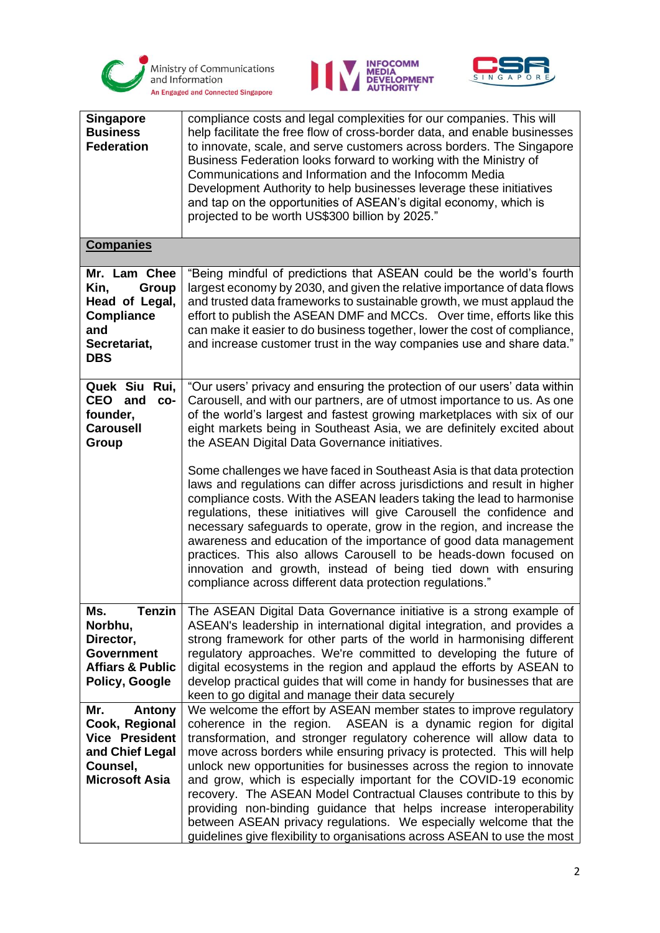





| <b>Singapore</b><br><b>Business</b><br><b>Federation</b>                                                         | compliance costs and legal complexities for our companies. This will<br>help facilitate the free flow of cross-border data, and enable businesses<br>to innovate, scale, and serve customers across borders. The Singapore<br>Business Federation looks forward to working with the Ministry of<br>Communications and Information and the Infocomm Media<br>Development Authority to help businesses leverage these initiatives<br>and tap on the opportunities of ASEAN's digital economy, which is<br>projected to be worth US\$300 billion by 2025."                                                                                                                                                                               |
|------------------------------------------------------------------------------------------------------------------|---------------------------------------------------------------------------------------------------------------------------------------------------------------------------------------------------------------------------------------------------------------------------------------------------------------------------------------------------------------------------------------------------------------------------------------------------------------------------------------------------------------------------------------------------------------------------------------------------------------------------------------------------------------------------------------------------------------------------------------|
| <b>Companies</b>                                                                                                 |                                                                                                                                                                                                                                                                                                                                                                                                                                                                                                                                                                                                                                                                                                                                       |
| Mr. Lam Chee<br>Group<br>Kin,<br>Head of Legal,<br><b>Compliance</b><br>and<br>Secretariat,<br><b>DBS</b>        | "Being mindful of predictions that ASEAN could be the world's fourth<br>largest economy by 2030, and given the relative importance of data flows<br>and trusted data frameworks to sustainable growth, we must applaud the<br>effort to publish the ASEAN DMF and MCCs. Over time, efforts like this<br>can make it easier to do business together, lower the cost of compliance,<br>and increase customer trust in the way companies use and share data."                                                                                                                                                                                                                                                                            |
| Quek Siu<br>Rui,<br>CEO and<br>CO-<br>founder,<br><b>Carousell</b><br>Group                                      | "Our users' privacy and ensuring the protection of our users' data within<br>Carousell, and with our partners, are of utmost importance to us. As one<br>of the world's largest and fastest growing marketplaces with six of our<br>eight markets being in Southeast Asia, we are definitely excited about<br>the ASEAN Digital Data Governance initiatives.                                                                                                                                                                                                                                                                                                                                                                          |
|                                                                                                                  | Some challenges we have faced in Southeast Asia is that data protection<br>laws and regulations can differ across jurisdictions and result in higher<br>compliance costs. With the ASEAN leaders taking the lead to harmonise<br>regulations, these initiatives will give Carousell the confidence and<br>necessary safeguards to operate, grow in the region, and increase the<br>awareness and education of the importance of good data management<br>practices. This also allows Carousell to be heads-down focused on<br>innovation and growth, instead of being tied down with ensuring<br>compliance across different data protection regulations."                                                                             |
| Ms.<br>Tenzin<br>Norbhu,<br>Director,<br><b>Government</b><br><b>Affiars &amp; Public</b><br>Policy, Google      | The ASEAN Digital Data Governance initiative is a strong example of<br>ASEAN's leadership in international digital integration, and provides a<br>strong framework for other parts of the world in harmonising different<br>regulatory approaches. We're committed to developing the future of<br>digital ecosystems in the region and applaud the efforts by ASEAN to<br>develop practical guides that will come in handy for businesses that are<br>keen to go digital and manage their data securely                                                                                                                                                                                                                               |
| Mr.<br>Antony<br>Cook, Regional<br><b>Vice President</b><br>and Chief Legal<br>Counsel,<br><b>Microsoft Asia</b> | We welcome the effort by ASEAN member states to improve regulatory<br>coherence in the region. ASEAN is a dynamic region for digital<br>transformation, and stronger regulatory coherence will allow data to<br>move across borders while ensuring privacy is protected. This will help<br>unlock new opportunities for businesses across the region to innovate<br>and grow, which is especially important for the COVID-19 economic<br>recovery. The ASEAN Model Contractual Clauses contribute to this by<br>providing non-binding guidance that helps increase interoperability<br>between ASEAN privacy regulations. We especially welcome that the<br>guidelines give flexibility to organisations across ASEAN to use the most |